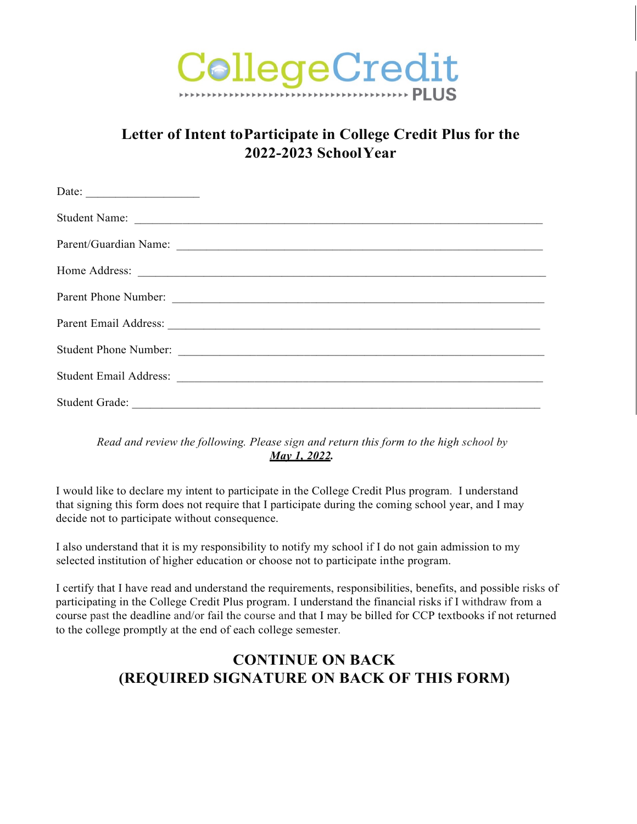

## **Letter of Intent toParticipate in College Credit Plus for the 2022-2023 SchoolYear**

| Date: $\qquad \qquad$ |
|-----------------------|
|                       |
|                       |
|                       |
|                       |
|                       |
|                       |
|                       |
|                       |

*Read and review the following. Please sign and return this form to the high school by May 1, 2022.*

I would like to declare my intent to participate in the College Credit Plus program. I understand that signing this form does not require that I participate during the coming school year, and I may decide not to participate without consequence.

I also understand that it is my responsibility to notify my school if I do not gain admission to my selected institution of higher education or choose not to participate inthe program.

I certify that I have read and understand the requirements, responsibilities, benefits, and possible risks of participating in the College Credit Plus program. I understand the financial risks if I withdraw from a course past the deadline and/or fail the course and that I may be billed for CCP textbooks if not returned to the college promptly at the end of each college semester.

## **CONTINUE ON BACK (REQUIRED SIGNATURE ON BACK OF THIS FORM)**